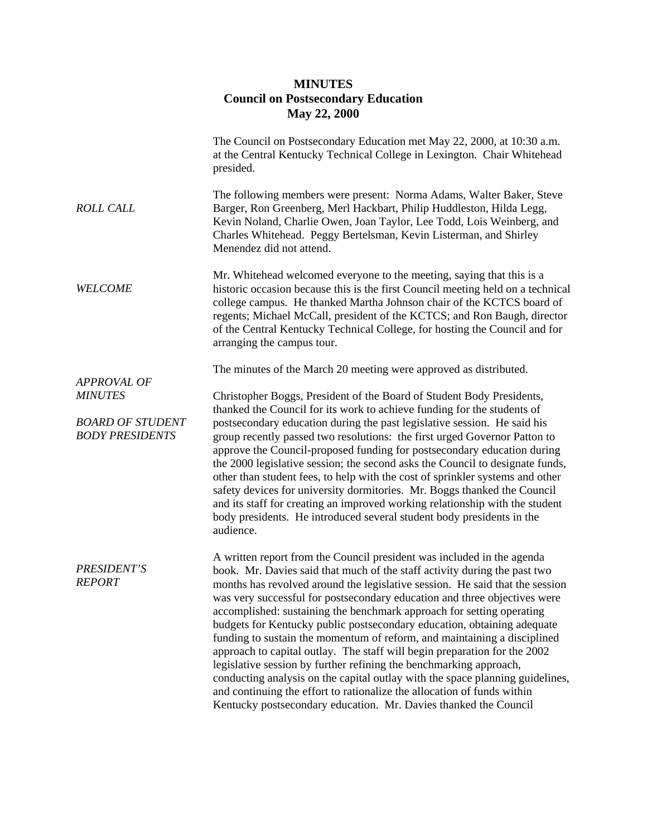## **MINUTES Council on Postsecondary Education May 22, 2000**

|                              | The Council on Postsecondary Education met May 22, 2000, at 10:30 a.m.<br>at the Central Kentucky Technical College in Lexington. Chair Whitehead<br>presided.                                                                                                                                                                                                                                                                                                                                                                                                                                                                                                                                                                                                                                                                                            |
|------------------------------|-----------------------------------------------------------------------------------------------------------------------------------------------------------------------------------------------------------------------------------------------------------------------------------------------------------------------------------------------------------------------------------------------------------------------------------------------------------------------------------------------------------------------------------------------------------------------------------------------------------------------------------------------------------------------------------------------------------------------------------------------------------------------------------------------------------------------------------------------------------|
| <b>ROLL CALL</b>             | The following members were present: Norma Adams, Walter Baker, Steve<br>Barger, Ron Greenberg, Merl Hackbart, Philip Huddleston, Hilda Legg,<br>Kevin Noland, Charlie Owen, Joan Taylor, Lee Todd, Lois Weinberg, and<br>Charles Whitehead. Peggy Bertelsman, Kevin Listerman, and Shirley<br>Menendez did not attend.                                                                                                                                                                                                                                                                                                                                                                                                                                                                                                                                    |
| <b>WELCOME</b>               | Mr. Whitehead welcomed everyone to the meeting, saying that this is a<br>historic occasion because this is the first Council meeting held on a technical<br>college campus. He thanked Martha Johnson chair of the KCTCS board of<br>regents; Michael McCall, president of the KCTCS; and Ron Baugh, director<br>of the Central Kentucky Technical College, for hosting the Council and for<br>arranging the campus tour.                                                                                                                                                                                                                                                                                                                                                                                                                                 |
| <b>APPROVAL OF</b>           | The minutes of the March 20 meeting were approved as distributed.                                                                                                                                                                                                                                                                                                                                                                                                                                                                                                                                                                                                                                                                                                                                                                                         |
| <b>MINUTES</b>               | Christopher Boggs, President of the Board of Student Body Presidents,                                                                                                                                                                                                                                                                                                                                                                                                                                                                                                                                                                                                                                                                                                                                                                                     |
|                              | thanked the Council for its work to achieve funding for the students of                                                                                                                                                                                                                                                                                                                                                                                                                                                                                                                                                                                                                                                                                                                                                                                   |
| <b>BOARD OF STUDENT</b>      | postsecondary education during the past legislative session. He said his                                                                                                                                                                                                                                                                                                                                                                                                                                                                                                                                                                                                                                                                                                                                                                                  |
| <b>BODY PRESIDENTS</b>       | group recently passed two resolutions: the first urged Governor Patton to<br>approve the Council-proposed funding for postsecondary education during<br>the 2000 legislative session; the second asks the Council to designate funds,<br>other than student fees, to help with the cost of sprinkler systems and other<br>safety devices for university dormitories. Mr. Boggs thanked the Council<br>and its staff for creating an improved working relationship with the student<br>body presidents. He introduced several student body presidents in the<br>audience.                                                                                                                                                                                                                                                                                  |
|                              | A written report from the Council president was included in the agenda                                                                                                                                                                                                                                                                                                                                                                                                                                                                                                                                                                                                                                                                                                                                                                                    |
| PRESIDENT'S<br><b>REPORT</b> | book. Mr. Davies said that much of the staff activity during the past two<br>months has revolved around the legislative session. He said that the session<br>was very successful for postsecondary education and three objectives were<br>accomplished: sustaining the benchmark approach for setting operating<br>budgets for Kentucky public postsecondary education, obtaining adequate<br>funding to sustain the momentum of reform, and maintaining a disciplined<br>approach to capital outlay. The staff will begin preparation for the 2002<br>legislative session by further refining the benchmarking approach,<br>conducting analysis on the capital outlay with the space planning guidelines,<br>and continuing the effort to rationalize the allocation of funds within<br>Kentucky postsecondary education. Mr. Davies thanked the Council |
|                              |                                                                                                                                                                                                                                                                                                                                                                                                                                                                                                                                                                                                                                                                                                                                                                                                                                                           |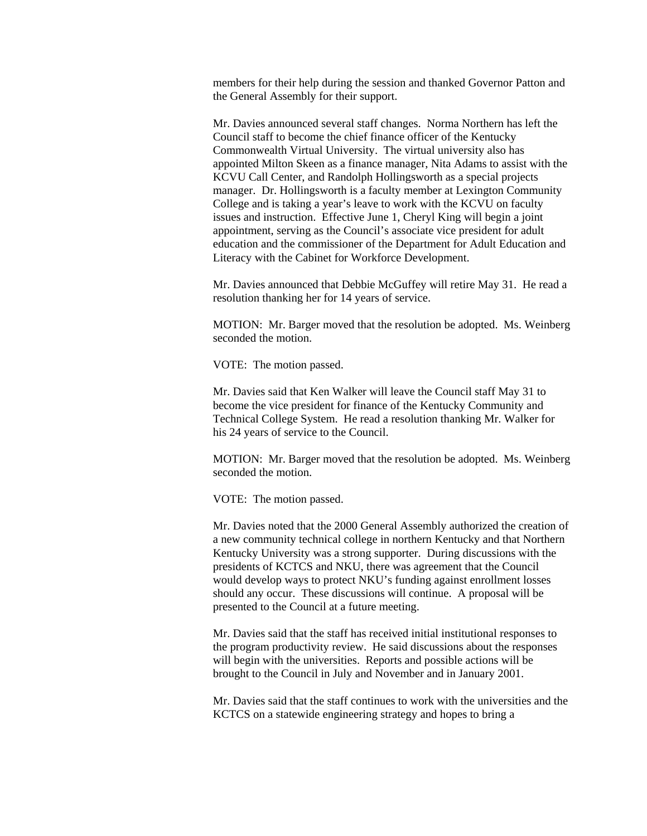members for their help during the session and thanked Governor Patton and the General Assembly for their support.

Mr. Davies announced several staff changes. Norma Northern has left the Council staff to become the chief finance officer of the Kentucky Commonwealth Virtual University. The virtual university also has appointed Milton Skeen as a finance manager, Nita Adams to assist with the KCVU Call Center, and Randolph Hollingsworth as a special projects manager. Dr. Hollingsworth is a faculty member at Lexington Community College and is taking a year's leave to work with the KCVU on faculty issues and instruction. Effective June 1, Cheryl King will begin a joint appointment, serving as the Council's associate vice president for adult education and the commissioner of the Department for Adult Education and Literacy with the Cabinet for Workforce Development.

Mr. Davies announced that Debbie McGuffey will retire May 31. He read a resolution thanking her for 14 years of service.

MOTION: Mr. Barger moved that the resolution be adopted. Ms. Weinberg seconded the motion.

VOTE: The motion passed.

Mr. Davies said that Ken Walker will leave the Council staff May 31 to become the vice president for finance of the Kentucky Community and Technical College System. He read a resolution thanking Mr. Walker for his 24 years of service to the Council.

MOTION: Mr. Barger moved that the resolution be adopted. Ms. Weinberg seconded the motion.

VOTE: The motion passed.

Mr. Davies noted that the 2000 General Assembly authorized the creation of a new community technical college in northern Kentucky and that Northern Kentucky University was a strong supporter. During discussions with the presidents of KCTCS and NKU, there was agreement that the Council would develop ways to protect NKU's funding against enrollment losses should any occur. These discussions will continue. A proposal will be presented to the Council at a future meeting.

Mr. Davies said that the staff has received initial institutional responses to the program productivity review. He said discussions about the responses will begin with the universities. Reports and possible actions will be brought to the Council in July and November and in January 2001.

Mr. Davies said that the staff continues to work with the universities and the KCTCS on a statewide engineering strategy and hopes to bring a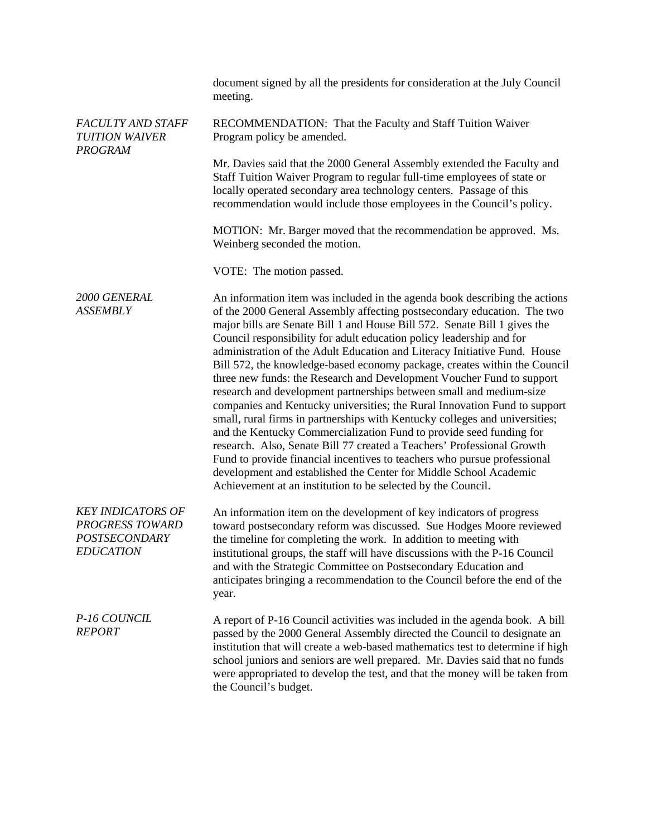|                                                                                                | document signed by all the presidents for consideration at the July Council<br>meeting.                                                                                                                                                                                                                                                                                                                                                                                                                                                                                                                                                                                                                                                                                                                                                                                                                                                                                                                                                                                                                                                            |
|------------------------------------------------------------------------------------------------|----------------------------------------------------------------------------------------------------------------------------------------------------------------------------------------------------------------------------------------------------------------------------------------------------------------------------------------------------------------------------------------------------------------------------------------------------------------------------------------------------------------------------------------------------------------------------------------------------------------------------------------------------------------------------------------------------------------------------------------------------------------------------------------------------------------------------------------------------------------------------------------------------------------------------------------------------------------------------------------------------------------------------------------------------------------------------------------------------------------------------------------------------|
| <b>FACULTY AND STAFF</b><br><b>TUITION WAIVER</b><br><b>PROGRAM</b>                            | RECOMMENDATION: That the Faculty and Staff Tuition Waiver<br>Program policy be amended.                                                                                                                                                                                                                                                                                                                                                                                                                                                                                                                                                                                                                                                                                                                                                                                                                                                                                                                                                                                                                                                            |
|                                                                                                | Mr. Davies said that the 2000 General Assembly extended the Faculty and<br>Staff Tuition Waiver Program to regular full-time employees of state or<br>locally operated secondary area technology centers. Passage of this<br>recommendation would include those employees in the Council's policy.                                                                                                                                                                                                                                                                                                                                                                                                                                                                                                                                                                                                                                                                                                                                                                                                                                                 |
|                                                                                                | MOTION: Mr. Barger moved that the recommendation be approved. Ms.<br>Weinberg seconded the motion.                                                                                                                                                                                                                                                                                                                                                                                                                                                                                                                                                                                                                                                                                                                                                                                                                                                                                                                                                                                                                                                 |
|                                                                                                | VOTE: The motion passed.                                                                                                                                                                                                                                                                                                                                                                                                                                                                                                                                                                                                                                                                                                                                                                                                                                                                                                                                                                                                                                                                                                                           |
| 2000 GENERAL<br><b>ASSEMBLY</b>                                                                | An information item was included in the agenda book describing the actions<br>of the 2000 General Assembly affecting postsecondary education. The two<br>major bills are Senate Bill 1 and House Bill 572. Senate Bill 1 gives the<br>Council responsibility for adult education policy leadership and for<br>administration of the Adult Education and Literacy Initiative Fund. House<br>Bill 572, the knowledge-based economy package, creates within the Council<br>three new funds: the Research and Development Voucher Fund to support<br>research and development partnerships between small and medium-size<br>companies and Kentucky universities; the Rural Innovation Fund to support<br>small, rural firms in partnerships with Kentucky colleges and universities;<br>and the Kentucky Commercialization Fund to provide seed funding for<br>research. Also, Senate Bill 77 created a Teachers' Professional Growth<br>Fund to provide financial incentives to teachers who pursue professional<br>development and established the Center for Middle School Academic<br>Achievement at an institution to be selected by the Council. |
| <b>KEY INDICATORS OF</b><br><b>PROGRESS TOWARD</b><br><b>POSTSECONDARY</b><br><b>EDUCATION</b> | An information item on the development of key indicators of progress<br>toward postsecondary reform was discussed. Sue Hodges Moore reviewed<br>the timeline for completing the work. In addition to meeting with<br>institutional groups, the staff will have discussions with the P-16 Council<br>and with the Strategic Committee on Postsecondary Education and<br>anticipates bringing a recommendation to the Council before the end of the<br>year.                                                                                                                                                                                                                                                                                                                                                                                                                                                                                                                                                                                                                                                                                         |
| P-16 COUNCIL<br><b>REPORT</b>                                                                  | A report of P-16 Council activities was included in the agenda book. A bill<br>passed by the 2000 General Assembly directed the Council to designate an<br>institution that will create a web-based mathematics test to determine if high<br>school juniors and seniors are well prepared. Mr. Davies said that no funds<br>were appropriated to develop the test, and that the money will be taken from<br>the Council's budget.                                                                                                                                                                                                                                                                                                                                                                                                                                                                                                                                                                                                                                                                                                                  |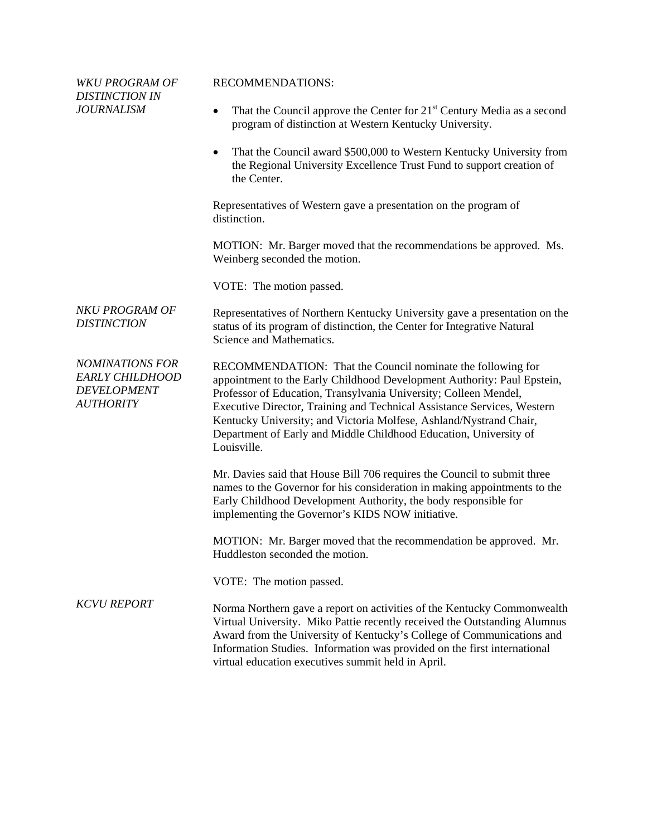| <b>WKU PROGRAM OF</b><br><b>DISTINCTION IN</b>                                             | <b>RECOMMENDATIONS:</b>                                                                                                                                                                                                                                                                                                                                                                                                                         |
|--------------------------------------------------------------------------------------------|-------------------------------------------------------------------------------------------------------------------------------------------------------------------------------------------------------------------------------------------------------------------------------------------------------------------------------------------------------------------------------------------------------------------------------------------------|
| <b>JOURNALISM</b>                                                                          | That the Council approve the Center for 21 <sup>st</sup> Century Media as a second<br>٠<br>program of distinction at Western Kentucky University.                                                                                                                                                                                                                                                                                               |
|                                                                                            | That the Council award \$500,000 to Western Kentucky University from<br>$\bullet$<br>the Regional University Excellence Trust Fund to support creation of<br>the Center.                                                                                                                                                                                                                                                                        |
|                                                                                            | Representatives of Western gave a presentation on the program of<br>distinction.                                                                                                                                                                                                                                                                                                                                                                |
|                                                                                            | MOTION: Mr. Barger moved that the recommendations be approved. Ms.<br>Weinberg seconded the motion.                                                                                                                                                                                                                                                                                                                                             |
|                                                                                            | VOTE: The motion passed.                                                                                                                                                                                                                                                                                                                                                                                                                        |
| NKU PROGRAM OF<br><b>DISTINCTION</b>                                                       | Representatives of Northern Kentucky University gave a presentation on the<br>status of its program of distinction, the Center for Integrative Natural<br>Science and Mathematics.                                                                                                                                                                                                                                                              |
| <b>NOMINATIONS FOR</b><br><b>EARLY CHILDHOOD</b><br><b>DEVELOPMENT</b><br><b>AUTHORITY</b> | RECOMMENDATION: That the Council nominate the following for<br>appointment to the Early Childhood Development Authority: Paul Epstein,<br>Professor of Education, Transylvania University; Colleen Mendel,<br>Executive Director, Training and Technical Assistance Services, Western<br>Kentucky University; and Victoria Molfese, Ashland/Nystrand Chair,<br>Department of Early and Middle Childhood Education, University of<br>Louisville. |
|                                                                                            | Mr. Davies said that House Bill 706 requires the Council to submit three<br>names to the Governor for his consideration in making appointments to the<br>Early Childhood Development Authority, the body responsible for<br>implementing the Governor's KIDS NOW initiative.                                                                                                                                                                    |
|                                                                                            | MOTION: Mr. Barger moved that the recommendation be approved. Mr.<br>Huddleston seconded the motion.                                                                                                                                                                                                                                                                                                                                            |
|                                                                                            | VOTE: The motion passed.                                                                                                                                                                                                                                                                                                                                                                                                                        |
| <b>KCVU REPORT</b>                                                                         | Norma Northern gave a report on activities of the Kentucky Commonwealth<br>Virtual University. Miko Pattie recently received the Outstanding Alumnus<br>Award from the University of Kentucky's College of Communications and<br>Information Studies. Information was provided on the first international<br>virtual education executives summit held in April.                                                                                 |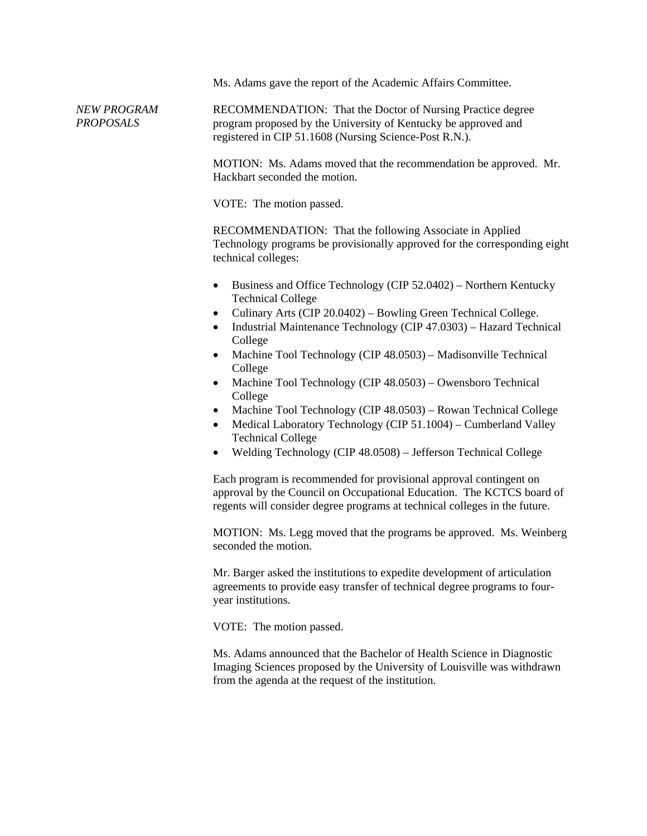Ms. Adams gave the report of the Academic Affairs Committee.

*NEW PROGRAM PROPOSALS* RECOMMENDATION: That the Doctor of Nursing Practice degree program proposed by the University of Kentucky be approved and registered in CIP 51.1608 (Nursing Science-Post R.N.).

> MOTION: Ms. Adams moved that the recommendation be approved. Mr. Hackbart seconded the motion.

VOTE: The motion passed.

RECOMMENDATION: That the following Associate in Applied Technology programs be provisionally approved for the corresponding eight technical colleges:

- Business and Office Technology (CIP 52.0402) Northern Kentucky Technical College
- Culinary Arts (CIP 20.0402) Bowling Green Technical College.
- Industrial Maintenance Technology (CIP 47.0303) Hazard Technical College
- Machine Tool Technology (CIP 48.0503) Madisonville Technical College
- Machine Tool Technology (CIP 48.0503) Owensboro Technical College
- Machine Tool Technology (CIP 48.0503) Rowan Technical College
- Medical Laboratory Technology (CIP 51.1004) Cumberland Valley Technical College
- Welding Technology (CIP 48.0508) Jefferson Technical College

Each program is recommended for provisional approval contingent on approval by the Council on Occupational Education. The KCTCS board of regents will consider degree programs at technical colleges in the future.

MOTION: Ms. Legg moved that the programs be approved. Ms. Weinberg seconded the motion.

Mr. Barger asked the institutions to expedite development of articulation agreements to provide easy transfer of technical degree programs to fouryear institutions.

VOTE: The motion passed.

Ms. Adams announced that the Bachelor of Health Science in Diagnostic Imaging Sciences proposed by the University of Louisville was withdrawn from the agenda at the request of the institution.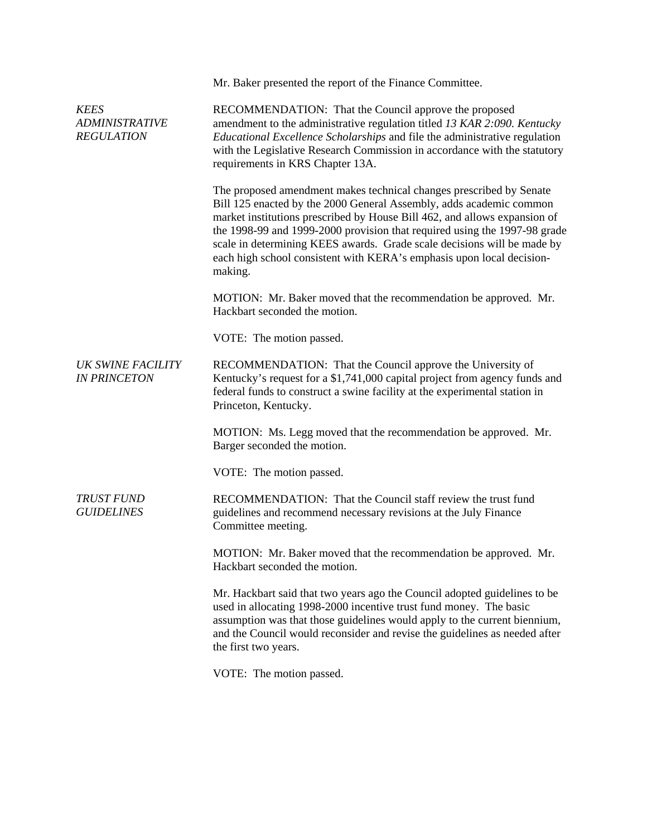|                                                           | Mr. Baker presented the report of the Finance Committee.                                                                                                                                                                                                                                                                                                                                                                                                            |
|-----------------------------------------------------------|---------------------------------------------------------------------------------------------------------------------------------------------------------------------------------------------------------------------------------------------------------------------------------------------------------------------------------------------------------------------------------------------------------------------------------------------------------------------|
| <b>KEES</b><br><b>ADMINISTRATIVE</b><br><b>REGULATION</b> | RECOMMENDATION: That the Council approve the proposed<br>amendment to the administrative regulation titled 13 KAR 2:090. Kentucky<br>Educational Excellence Scholarships and file the administrative regulation<br>with the Legislative Research Commission in accordance with the statutory<br>requirements in KRS Chapter 13A.                                                                                                                                    |
|                                                           | The proposed amendment makes technical changes prescribed by Senate<br>Bill 125 enacted by the 2000 General Assembly, adds academic common<br>market institutions prescribed by House Bill 462, and allows expansion of<br>the 1998-99 and 1999-2000 provision that required using the 1997-98 grade<br>scale in determining KEES awards. Grade scale decisions will be made by<br>each high school consistent with KERA's emphasis upon local decision-<br>making. |
|                                                           | MOTION: Mr. Baker moved that the recommendation be approved. Mr.<br>Hackbart seconded the motion.                                                                                                                                                                                                                                                                                                                                                                   |
|                                                           | VOTE: The motion passed.                                                                                                                                                                                                                                                                                                                                                                                                                                            |
| UK SWINE FACILITY<br><b>IN PRINCETON</b>                  | RECOMMENDATION: That the Council approve the University of<br>Kentucky's request for a \$1,741,000 capital project from agency funds and<br>federal funds to construct a swine facility at the experimental station in<br>Princeton, Kentucky.                                                                                                                                                                                                                      |
|                                                           | MOTION: Ms. Legg moved that the recommendation be approved. Mr.<br>Barger seconded the motion.                                                                                                                                                                                                                                                                                                                                                                      |
|                                                           | VOTE: The motion passed.                                                                                                                                                                                                                                                                                                                                                                                                                                            |
| <b>TRUST FUND</b><br><b>GUIDELINES</b>                    | RECOMMENDATION: That the Council staff review the trust fund<br>guidelines and recommend necessary revisions at the July Finance<br>Committee meeting.                                                                                                                                                                                                                                                                                                              |
|                                                           | MOTION: Mr. Baker moved that the recommendation be approved. Mr.<br>Hackbart seconded the motion.                                                                                                                                                                                                                                                                                                                                                                   |
|                                                           | Mr. Hackbart said that two years ago the Council adopted guidelines to be<br>used in allocating 1998-2000 incentive trust fund money. The basic<br>assumption was that those guidelines would apply to the current biennium,<br>and the Council would reconsider and revise the guidelines as needed after<br>the first two years.                                                                                                                                  |
|                                                           | VOTE: The motion passed.                                                                                                                                                                                                                                                                                                                                                                                                                                            |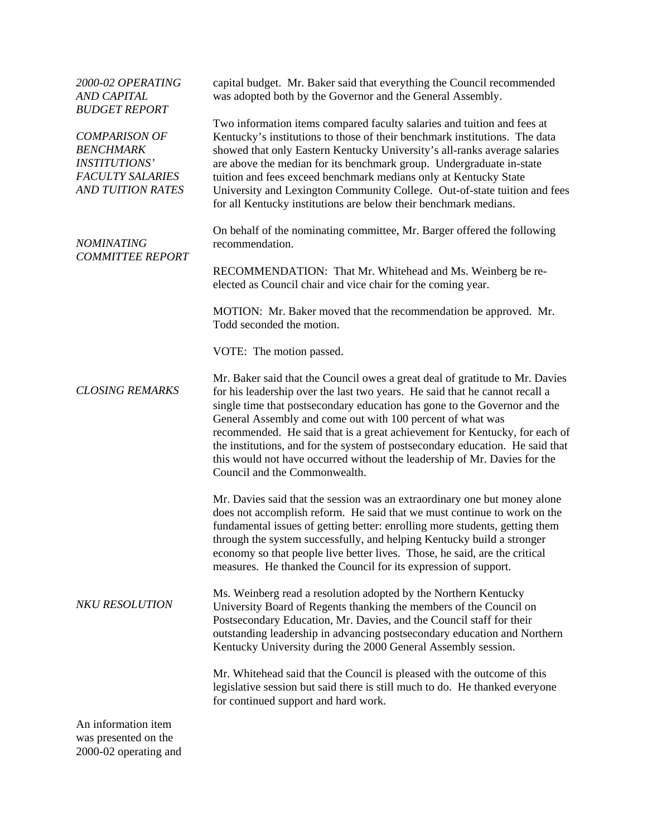| 2000-02 OPERATING<br><b>AND CAPITAL</b><br><b>BUDGET REPORT</b>                                                         | capital budget. Mr. Baker said that everything the Council recommended<br>was adopted both by the Governor and the General Assembly.                                                                                                                                                                                                                                                                                                                                                                                                                                                |
|-------------------------------------------------------------------------------------------------------------------------|-------------------------------------------------------------------------------------------------------------------------------------------------------------------------------------------------------------------------------------------------------------------------------------------------------------------------------------------------------------------------------------------------------------------------------------------------------------------------------------------------------------------------------------------------------------------------------------|
| <b>COMPARISON OF</b><br><b>BENCHMARK</b><br><b>INSTITUTIONS'</b><br><b>FACULTY SALARIES</b><br><b>AND TUITION RATES</b> | Two information items compared faculty salaries and tuition and fees at<br>Kentucky's institutions to those of their benchmark institutions. The data<br>showed that only Eastern Kentucky University's all-ranks average salaries<br>are above the median for its benchmark group. Undergraduate in-state<br>tuition and fees exceed benchmark medians only at Kentucky State<br>University and Lexington Community College. Out-of-state tuition and fees<br>for all Kentucky institutions are below their benchmark medians.                                                     |
| <b>NOMINATING</b><br><b>COMMITTEE REPORT</b>                                                                            | On behalf of the nominating committee, Mr. Barger offered the following<br>recommendation.                                                                                                                                                                                                                                                                                                                                                                                                                                                                                          |
|                                                                                                                         | RECOMMENDATION: That Mr. Whitehead and Ms. Weinberg be re-<br>elected as Council chair and vice chair for the coming year.                                                                                                                                                                                                                                                                                                                                                                                                                                                          |
|                                                                                                                         | MOTION: Mr. Baker moved that the recommendation be approved. Mr.<br>Todd seconded the motion.                                                                                                                                                                                                                                                                                                                                                                                                                                                                                       |
|                                                                                                                         | VOTE: The motion passed.                                                                                                                                                                                                                                                                                                                                                                                                                                                                                                                                                            |
| <b>CLOSING REMARKS</b>                                                                                                  | Mr. Baker said that the Council owes a great deal of gratitude to Mr. Davies<br>for his leadership over the last two years. He said that he cannot recall a<br>single time that postsecondary education has gone to the Governor and the<br>General Assembly and come out with 100 percent of what was<br>recommended. He said that is a great achievement for Kentucky, for each of<br>the institutions, and for the system of postsecondary education. He said that<br>this would not have occurred without the leadership of Mr. Davies for the<br>Council and the Commonwealth. |
| <b>NKU RESOLUTION</b>                                                                                                   | Mr. Davies said that the session was an extraordinary one but money alone<br>does not accomplish reform. He said that we must continue to work on the<br>fundamental issues of getting better: enrolling more students, getting them<br>through the system successfully, and helping Kentucky build a stronger<br>economy so that people live better lives. Those, he said, are the critical<br>measures. He thanked the Council for its expression of support.                                                                                                                     |
|                                                                                                                         | Ms. Weinberg read a resolution adopted by the Northern Kentucky<br>University Board of Regents thanking the members of the Council on<br>Postsecondary Education, Mr. Davies, and the Council staff for their<br>outstanding leadership in advancing postsecondary education and Northern<br>Kentucky University during the 2000 General Assembly session.                                                                                                                                                                                                                          |
|                                                                                                                         | Mr. Whitehead said that the Council is pleased with the outcome of this<br>legislative session but said there is still much to do. He thanked everyone<br>for continued support and hard work.                                                                                                                                                                                                                                                                                                                                                                                      |
| An information item<br>was presented on the<br>2000-02 operating and                                                    |                                                                                                                                                                                                                                                                                                                                                                                                                                                                                                                                                                                     |